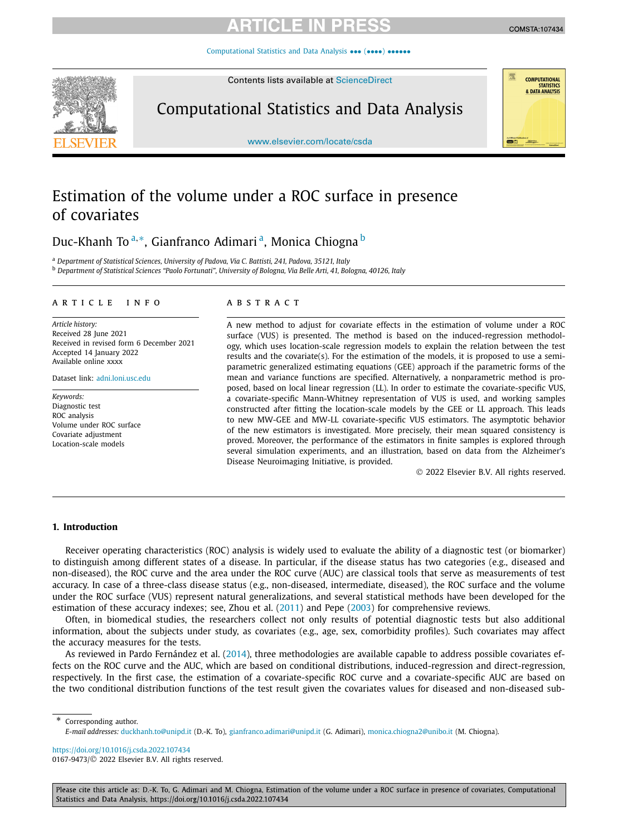# RTICI E IN

[Computational Statistics and Data Analysis](https://doi.org/10.1016/j.csda.2022.107434) ••• (••••) ••••••

Contents lists available at [ScienceDirect](http://www.ScienceDirect.com/)

Computational Statistics and Data Analysis

[www.elsevier.com/locate/csda](http://www.elsevier.com/locate/csda)

# Estimation of the volume under a ROC surface in presence of covariates

Duc-Khanh To<sup>a,∗</sup>, Gianfranco Adimari<sup>a</sup>, Monica Chiogna<sup>b</sup>

<sup>a</sup> *Department of Statistical Sciences, University of Padova, Via C. Battisti, 241, Padova, 35121, Italy*

<sup>b</sup> Department of Statistical Sciences "Paolo Fortunati", University of Bologna, Via Belle Arti, 41, Bologna, 40126, Italy

### A R T I C L E IN F O A B S T R A C T

*Article history:* Received 28 June 2021 Received in revised form 6 December 2021 Accepted 14 January 2022 Available online xxxx

Dataset link: [adni.loni.usc.edu](http://adni.loni.usc.edu)

*Keywords:* Diagnostic test ROC analysis Volume under ROC surface Covariate adjustment Location-scale models

A new method to adjust for covariate effects in the estimation of volume under a ROC surface (VUS) is presented. The method is based on the induced-regression methodology, which uses location-scale regression models to explain the relation between the test results and the covariate(s). For the estimation of the models, it is proposed to use a semiparametric generalized estimating equations (GEE) approach if the parametric forms of the mean and variance functions are specified. Alternatively, a nonparametric method is proposed, based on local linear regression (LL). In order to estimate the covariate-specific VUS, a covariate-specific Mann-Whitney representation of VUS is used, and working samples constructed after fitting the location-scale models by the GEE or LL approach. This leads to new MW-GEE and MW-LL covariate-specific VUS estimators. The asymptotic behavior of the new estimators is investigated. More precisely, their mean squared consistency is proved. Moreover, the performance of the estimators in finite samples is explored through several simulation experiments, and an illustration, based on data from the Alzheimer's Disease Neuroimaging Initiative, is provided.

© 2022 Elsevier B.V. All rights reserved.

### **1. Introduction**

Receiver operating characteristics (ROC) analysis is widely used to evaluate the ability of a diagnostic test (or biomarker) to distinguish among different states of a disease. In particular, if the disease status has two categories (e.g., diseased and non-diseased), the ROC curve and the area under the ROC curve (AUC) are classical tools that serve as measurements of test accuracy. In case of a three-class disease status (e.g., non-diseased, intermediate, diseased), the ROC surface and the volume under the ROC surface (VUS) represent natural generalizations, and several statistical methods have been developed for the estimation of these accuracy indexes; see, Zhou et al. ([2011](#page-14-0)) and Pepe [\(2003\)](#page-14-0) for comprehensive reviews.

Often, in biomedical studies, the researchers collect not only results of potential diagnostic tests but also additional information, about the subjects under study, as covariates (e.g., age, sex, comorbidity profiles). Such covariates may affect the accuracy measures for the tests.

As reviewed in Pardo Fernández et al. [\(2014\)](#page-14-0), three methodologies are available capable to address possible covariates effects on the ROC curve and the AUC, which are based on conditional distributions, induced-regression and direct-regression, respectively. In the first case, the estimation of a covariate-specific ROC curve and a covariate-specific AUC are based on the two conditional distribution functions of the test result given the covariates values for diseased and non-diseased sub-

\* Corresponding author.

*E-mail addresses:* [duckhanh.to@unipd.it](mailto:duckhanh.to@unipd.it) (D.-K. To), [gianfranco.adimari@unipd.it](mailto:gianfranco.adimari@unipd.it) (G. Adimari), [monica.chiogna2@unibo.it](mailto:monica.chiogna2@unibo.it) (M. Chiogna).

<https://doi.org/10.1016/j.csda.2022.107434> 0167-9473/© 2022 Elsevier B.V. All rights reserved.

Please cite this article as: D.-K. To, G. Adimari and M. Chiogna, Estimation of the volume under a ROC surface in presence of covariates, Computational Statistics and Data Analysis, https://doi.org/10.1016/j.csda.2022.107434

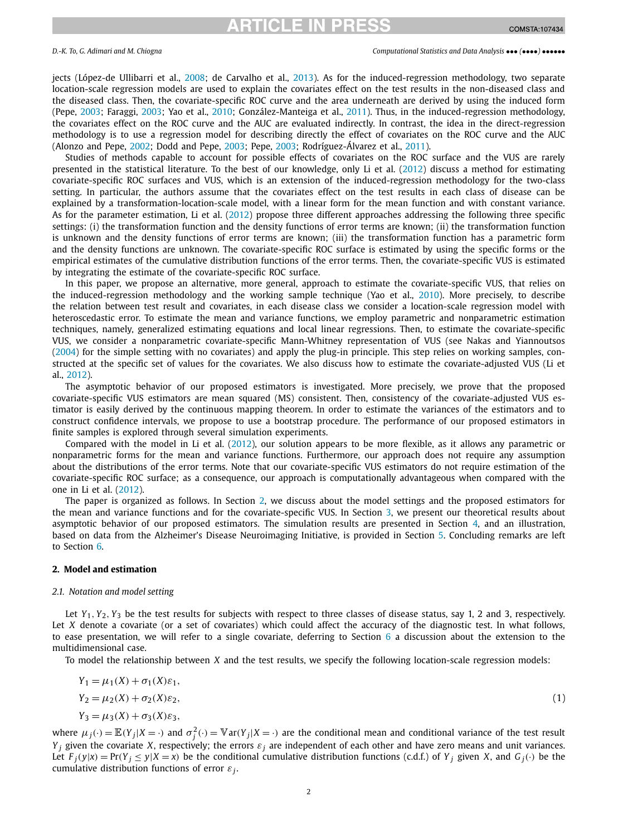## RTICLE IN PRE

<span id="page-1-0"></span>jects (López-de Ullibarri et al., [2008;](#page-14-0) de Carvalho et al., [2013\)](#page-14-0). As for the induced-regression methodology, two separate location-scale regression models are used to explain the covariates effect on the test results in the non-diseased class and the diseased class. Then, the covariate-specific ROC curve and the area underneath are derived by using the induced form (Pepe, [2003;](#page-14-0) Faraggi, [2003;](#page-14-0) Yao et al., [2010;](#page-14-0) González-Manteiga et al., [2011\)](#page-14-0). Thus, in the induced-regression methodology, the covariates effect on the ROC curve and the AUC are evaluated indirectly. In contrast, the idea in the direct-regression methodology is to use a regression model for describing directly the effect of covariates on the ROC curve and the AUC (Alonzo and Pepe, [2002;](#page-14-0) Dodd and Pepe, [2003;](#page-14-0) Pepe, [2003;](#page-14-0) Rodríguez-Álvarez et al., [2011](#page-14-0)).

Studies of methods capable to account for possible effects of covariates on the ROC surface and the VUS are rarely presented in the statistical literature. To the best of our knowledge, only Li et al. [\(2012\)](#page-14-0) discuss a method for estimating covariate-specific ROC surfaces and VUS, which is an extension of the induced-regression methodology for the two-class setting. In particular, the authors assume that the covariates effect on the test results in each class of disease can be explained by a transformation-location-scale model, with a linear form for the mean function and with constant variance. As for the parameter estimation, Li et al. [\(2012](#page-14-0)) propose three different approaches addressing the following three specific settings: (i) the transformation function and the density functions of error terms are known; (ii) the transformation function is unknown and the density functions of error terms are known; (iii) the transformation function has a parametric form and the density functions are unknown. The covariate-specific ROC surface is estimated by using the specific forms or the empirical estimates of the cumulative distribution functions of the error terms. Then, the covariate-specific VUS is estimated by integrating the estimate of the covariate-specific ROC surface.

In this paper, we propose an alternative, more general, approach to estimate the covariate-specific VUS, that relies on the induced-regression methodology and the working sample technique (Yao et al., [2010\)](#page-14-0). More precisely, to describe the relation between test result and covariates, in each disease class we consider a location-scale regression model with heteroscedastic error. To estimate the mean and variance functions, we employ parametric and nonparametric estimation techniques, namely, generalized estimating equations and local linear regressions. Then, to estimate the covariate-specific VUS, we consider a nonparametric covariate-specific Mann-Whitney representation of VUS (see Nakas and Yiannoutsos ([2004](#page-14-0)) for the simple setting with no covariates) and apply the plug-in principle. This step relies on working samples, constructed at the specific set of values for the covariates. We also discuss how to estimate the covariate-adjusted VUS (Li et al., [2012\)](#page-14-0).

The asymptotic behavior of our proposed estimators is investigated. More precisely, we prove that the proposed covariate-specific VUS estimators are mean squared (MS) consistent. Then, consistency of the covariate-adjusted VUS estimator is easily derived by the continuous mapping theorem. In order to estimate the variances of the estimators and to construct confidence intervals, we propose to use a bootstrap procedure. The performance of our proposed estimators in finite samples is explored through several simulation experiments.

Compared with the model in Li et al. ([2012](#page-14-0)), our solution appears to be more flexible, as it allows any parametric or nonparametric forms for the mean and variance functions. Furthermore, our approach does not require any assumption about the distributions of the error terms. Note that our covariate-specific VUS estimators do not require estimation of the covariate-specific ROC surface; as a consequence, our approach is computationally advantageous when compared with the one in Li et al. [\(2012\)](#page-14-0).

The paper is organized as follows. In Section 2, we discuss about the model settings and the proposed estimators for the mean and variance functions and for the covariate-specific VUS. In Section [3,](#page-5-0) we present our theoretical results about asymptotic behavior of our proposed estimators. The simulation results are presented in Section [4,](#page-6-0) and an illustration, based on data from the Alzheimer's Disease Neuroimaging Initiative, is provided in Section [5.](#page-11-0) Concluding remarks are left to Section [6.](#page-13-0)

### **2. Model and estimation**

### *2.1. Notation and model setting*

Let *Y*<sub>1</sub>, *Y*<sub>2</sub>, *Y*<sub>3</sub> be the test results for subjects with respect to three classes of disease status, say 1, 2 and 3, respectively. Let *X* denote a covariate (or a set of covariates) which could affect the accuracy of the diagnostic test. In what follows, to ease presentation, we will refer to a single covariate, deferring to Section [6](#page-13-0) a discussion about the extension to the multidimensional case.

To model the relationship between *X* and the test results, we specify the following location-scale regression models:

$$
Y_1 = \mu_1(X) + \sigma_1(X)\varepsilon_1,
$$
  
\n
$$
Y_2 = \mu_2(X) + \sigma_2(X)\varepsilon_2,
$$
  
\n
$$
Y_3 = \mu_3(X) + \sigma_3(X)\varepsilon_3,
$$
\n(1)

where  $\mu_j(\cdot) = \mathbb{E}(Y_j|X=\cdot)$  and  $\sigma_j^2(\cdot) = \mathbb{V}$  ar $(Y_j|X=\cdot)$  are the conditional mean and conditional variance of the test result *Y*<sub>*i*</sub> given the covariate *X*, respectively; the errors  $\varepsilon$ <sub>*i*</sub> are independent of each other and have zero means and unit variances. Let  $F_i(y|x) = Pr(Y_i \le y|X = x)$  be the conditional cumulative distribution functions (c.d.f.) of  $Y_i$  given  $X$ , and  $G_i(\cdot)$  be the cumulative distribution functions of error *ε<sup>j</sup>* .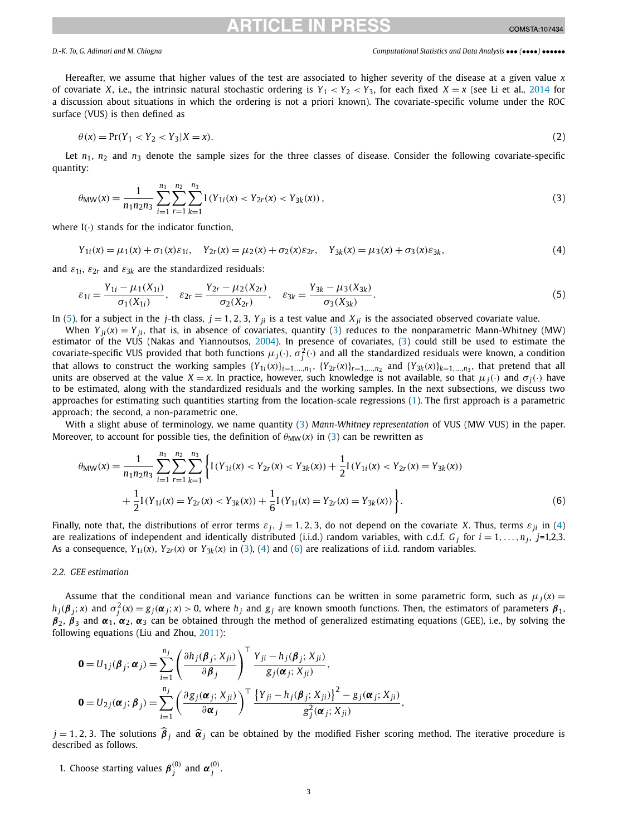<span id="page-2-0"></span>Hereafter, we assume that higher values of the test are associated to higher severity of the disease at a given value *x* of covariate *X*, i.e., the intrinsic natural stochastic ordering is  $Y_1 < Y_2 < Y_3$ , for each fixed  $X = x$  (see Li et al., [2014](#page-14-0) for a discussion about situations in which the ordering is not a priori known). The covariate-specific volume under the ROC surface (VUS) is then defined as

$$
\theta(x) = \Pr(Y_1 < Y_2 < Y_3 | X = x). \tag{2}
$$

Let  $n_1$ ,  $n_2$  and  $n_3$  denote the sample sizes for the three classes of disease. Consider the following covariate-specific quantity:

$$
\theta_{\text{MW}}(x) = \frac{1}{n_1 n_2 n_3} \sum_{i=1}^{n_1} \sum_{r=1}^{n_2} \sum_{k=1}^{n_3} I(Y_{1i}(x) < Y_{2r}(x) < Y_{3k}(x)),\tag{3}
$$

where I*(*·*)* stands for the indicator function,

$$
Y_{1i}(x) = \mu_1(x) + \sigma_1(x)\varepsilon_{1i}, \quad Y_{2r}(x) = \mu_2(x) + \sigma_2(x)\varepsilon_{2r}, \quad Y_{3k}(x) = \mu_3(x) + \sigma_3(x)\varepsilon_{3k},\tag{4}
$$

and  $\varepsilon_{1i}$ ,  $\varepsilon_{2r}$  and  $\varepsilon_{3k}$  are the standardized residuals:

$$
\varepsilon_{1i} = \frac{Y_{1i} - \mu_1(X_{1i})}{\sigma_1(X_{1i})}, \quad \varepsilon_{2r} = \frac{Y_{2r} - \mu_2(X_{2r})}{\sigma_2(X_{2r})}, \quad \varepsilon_{3k} = \frac{Y_{3k} - \mu_3(X_{3k})}{\sigma_3(X_{3k})}.
$$
\n
$$
(5)
$$

In (5), for a subject in the *j*-th class,  $j = 1, 2, 3$ ,  $Y_{ji}$  is a test value and  $X_{ji}$  is the associated observed covariate value.

When  $Y_{ii}(x) = Y_{ii}$ , that is, in absence of covariates, quantity (3) reduces to the nonparametric Mann-Whitney (MW) estimator of the VUS (Nakas and Yiannoutsos, [2004\)](#page-14-0). In presence of covariates, (3) could still be used to estimate the covariate-specific VUS provided that both functions  $\mu_j(\cdot)$ ,  $\sigma_j^2(\cdot)$  and all the standardized residuals were known, a condition that allows to construct the working samples  $\{Y_{1i}(x)\}_{i=1,\ldots,n_1}$ ,  $\{Y_{2r}(x)\}_{r=1,\ldots,n_2}$  and  $\{Y_{3k}(x)\}_{k=1,\ldots,n_3}$ , that pretend that all units are observed at the value  $X = x$ . In practice, however, such knowledge is not available, so that  $\mu_j(\cdot)$  and  $\sigma_j(\cdot)$  have to be estimated, along with the standardized residuals and the working samples. In the next subsections, we discuss two approaches for estimating such quantities starting from the location-scale regressions ([1](#page-1-0)). The first approach is a parametric approach; the second, a non-parametric one.

With a slight abuse of terminology, we name quantity (3) *Mann-Whitney representation* of VUS (MW VUS) in the paper. Moreover, to account for possible ties, the definition of  $\theta_{\text{MW}}(x)$  in (3) can be rewritten as

$$
\theta_{\text{MW}}(x) = \frac{1}{n_1 n_2 n_3} \sum_{i=1}^{n_1} \sum_{r=1}^{n_2} \sum_{k=1}^{n_3} \left\{ I(Y_{1i}(x) < Y_{2r}(x) < Y_{3k}(x)) + \frac{1}{2} I(Y_{1i}(x) < Y_{2r}(x) = Y_{3k}(x)) + \frac{1}{2} I(Y_{1i}(x) = Y_{2r}(x) < Y_{3k}(x)) + \frac{1}{6} I(Y_{1i}(x) = Y_{2r}(x) = Y_{3k}(x)) \right\}.
$$
\n
$$
(6)
$$

Finally, note that, the distributions of error terms  $\varepsilon_j$ ,  $j = 1, 2, 3$ , do not depend on the covariate *X*. Thus, terms  $\varepsilon_{ji}$  in (4) are realizations of independent and identically distributed (i.i.d.) random variables, with c.d.f.  $G_i$  for  $i = 1, \ldots, n_i$ ,  $j=1,2,3$ . As a consequence,  $Y_{1i}(x)$ ,  $Y_{2r}(x)$  or  $Y_{3k}(x)$  in (3), (4) and (6) are realizations of i.i.d. random variables.

### *2.2. GEE estimation*

Assume that the conditional mean and variance functions can be written in some parametric form, such as  $\mu_i(x)$  =  $h_j(\bm{\beta}_j;x)$  and  $\sigma_j^2(x)=g_j(\bm{\alpha}_j;x)>0$ , where  $h_j$  and  $g_j$  are known smooth functions. Then, the estimators of parameters  $\bm{\beta}_1$ ,  $\beta_2$ ,  $\beta_3$  and  $\alpha_1$ ,  $\alpha_2$ ,  $\alpha_3$  can be obtained through the method of generalized estimating equations (GEE), i.e., by solving the following equations (Liu and Zhou, [2011](#page-14-0)):

$$
\mathbf{0} = U_{1j}(\boldsymbol{\beta}_j; \boldsymbol{\alpha}_j) = \sum_{i=1}^{n_j} \left( \frac{\partial h_j(\boldsymbol{\beta}_j; X_{ji})}{\partial \boldsymbol{\beta}_j} \right)^{\top} \frac{Y_{ji} - h_j(\boldsymbol{\beta}_j; X_{ji})}{g_j(\boldsymbol{\alpha}_j; X_{ji})},
$$
  

$$
\mathbf{0} = U_{2j}(\boldsymbol{\alpha}_j; \boldsymbol{\beta}_j) = \sum_{i=1}^{n_j} \left( \frac{\partial g_j(\boldsymbol{\alpha}_j; X_{ji})}{\partial \boldsymbol{\alpha}_j} \right)^{\top} \frac{\{Y_{ji} - h_j(\boldsymbol{\beta}_j; X_{ji})\}^2 - g_j(\boldsymbol{\alpha}_j; X_{ji})}{g_j^2(\boldsymbol{\alpha}_j; X_{ji})},
$$

 $j = 1, 2, 3$ . The solutions  $\hat{\beta}_j$  and  $\hat{\alpha}_j$  can be obtained by the modified Fisher scoring method. The iterative procedure is described as follows.

1. Choose starting values  $\boldsymbol{\beta}_j^{(0)}$  and  $\boldsymbol{\alpha}_j^{(0)}$ .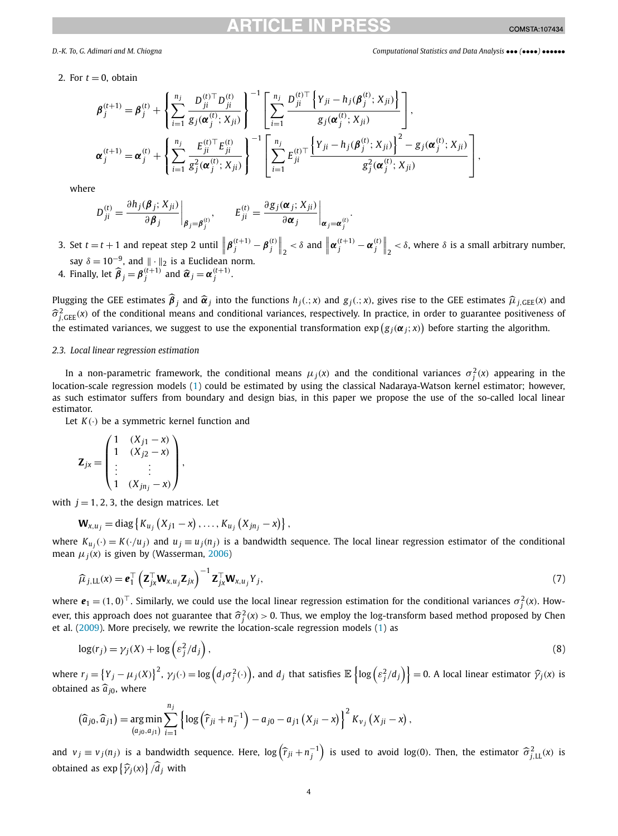2. For  $t = 0$ , obtain

$$
\boldsymbol{\beta}_{j}^{(t+1)} = \boldsymbol{\beta}_{j}^{(t)} + \left\{ \sum_{i=1}^{n_{j}} \frac{D_{ji}^{(t)\top} D_{ji}^{(t)}}{g_{j}(\boldsymbol{\alpha}_{j}^{(t)}; X_{ji})} \right\}^{-1} \left[ \sum_{i=1}^{n_{j}} \frac{D_{ji}^{(t)\top} \left\{ Y_{ji} - h_{j}(\boldsymbol{\beta}_{j}^{(t)}; X_{ji}) \right\}}{g_{j}(\boldsymbol{\alpha}_{j}^{(t)}; X_{ji})} \right],
$$
\n
$$
\boldsymbol{\alpha}_{j}^{(t+1)} = \boldsymbol{\alpha}_{j}^{(t)} + \left\{ \sum_{i=1}^{n_{j}} \frac{E_{ji}^{(t)\top} E_{ji}^{(t)}}{g_{j}^{2}(\boldsymbol{\alpha}_{j}^{(t)}; X_{ji})} \right\}^{-1} \left[ \sum_{i=1}^{n_{j}} E_{ji}^{(t)\top} \frac{\left\{ Y_{ji} - h_{j}(\boldsymbol{\beta}_{j}^{(t)}; X_{ji}) \right\}^{2} - g_{j}(\boldsymbol{\alpha}_{j}^{(t)}; X_{ji})}{g_{j}^{2}(\boldsymbol{\alpha}_{j}^{(t)}; X_{ji})} \right],
$$

where

$$
D_{ji}^{(t)} = \frac{\partial h_j(\boldsymbol{\beta}_j; X_{ji})}{\partial \boldsymbol{\beta}_j}\bigg|_{\boldsymbol{\beta}_j = \boldsymbol{\beta}_j^{(t)}}, \qquad E_{ji}^{(t)} = \frac{\partial g_j(\boldsymbol{\alpha}_j; X_{ji})}{\partial \boldsymbol{\alpha}_j}\bigg|_{\boldsymbol{\alpha}_j = \boldsymbol{\alpha}_j^{(t)}}
$$

3. Set  $t = t + 1$  and repeat step 2 until  $\left\| \boldsymbol{\beta}_j^{(t+1)} - \boldsymbol{\beta}_j^{(t)} \right\|_2 < \delta$  and  $\left\| \boldsymbol{\alpha}_j^{(t+1)} - \boldsymbol{\alpha}_j^{(t)} \right\|_2 < \delta$ , where  $\delta$  is a small arbitrary number, say  $\delta = 10^{-9}$ , and  $\|\cdot\|_2$  is a Euclidean norm.

4. Finally, let  $\widehat{\boldsymbol{\beta}}_j = \boldsymbol{\beta}_j^{(t+1)}$  and  $\widehat{\boldsymbol{\alpha}}_j = \boldsymbol{\alpha}_j^{(t+1)}$ .

Plugging the GEE estimates  $\hat{\beta}_j$  and  $\hat{\alpha}_j$  into the functions  $h_j(.;x)$  and  $g_j(.;x)$ , gives rise to the GEE estimates  $\hat{\mu}_{j,GEE}(x)$  and  $\hat{\sigma}_{A, \text{GEE}}^2(x)$  of the conditional means and conditional variances, respectively. In practice, in order to guarantee positiveness of the estimated variances, we suggest to use the exponential transformation  $\exp(g_j(\alpha_j;x))$  before starting the algorithm.

### *2.3. Local linear regression estimation*

In a non-parametric framework, the conditional means  $\mu_j(x)$  and the conditional variances  $\sigma_j^2(x)$  appearing in the location-scale regression models ([1\)](#page-1-0) could be estimated by using the classical Nadaraya-Watson kernel estimator; however, as such estimator suffers from boundary and design bias, in this paper we propose the use of the so-called local linear estimator.

Let *K(*·*)* be a symmetric kernel function and

$$
\mathbf{Z}_{jx} = \begin{pmatrix} 1 & (X_{j1} - x) \\ 1 & (X_{j2} - x) \\ \vdots & \vdots \\ 1 & (X_{jnj} - x) \end{pmatrix},
$$

with  $j = 1, 2, 3$ , the design matrices. Let

$$
\mathbf{W}_{x,u_j} = \text{diag} \left\{ K_{u_j} (X_{j1} - x), \dots, K_{u_j} (X_{jn_j} - x) \right\},\
$$

where  $K_{u_i}(\cdot) = K(\cdot/u_i)$  and  $u_i \equiv u_i(n_i)$  is a bandwidth sequence. The local linear regression estimator of the conditional mean  $\mu_i(x)$  is given by (Wasserman, [2006](#page-14-0))

$$
\widehat{\mu}_{j,\mathrm{LL}}(x) = \mathbf{e}_1^\top \left( \mathbf{Z}_{jx}^\top \mathbf{W}_{x,u_j} \mathbf{Z}_{jx} \right)^{-1} \mathbf{Z}_{jx}^\top \mathbf{W}_{x,u_j} Y_j, \tag{7}
$$

where  $e_1 = (1,0)^\top$ . Similarly, we could use the local linear regression estimation for the conditional variances  $\sigma_j^2(x)$ . However, this approach does not guarantee that  $\hat{\sigma}_j^2(x) > 0$ . Thus, we employ the log-transform based method proposed by Chen<br>et al. (2000). More precisely we rewrite the location scale regression models (1) as et al.  $(2009)$ . More precisely, we rewrite the location-scale regression models  $(1)$  as

$$
\log(r_j) = \gamma_j(X) + \log\left(\varepsilon_j^2 / d_j\right),\tag{8}
$$

where  $r_j = \{Y_j - \mu_j(X)\}^2$ ,  $\gamma_j(\cdot) = \log\left(d_j \sigma_j^2(\cdot)\right)$ , and  $d_j$  that satisfies  $\mathbb{E}\left\{\log\left(\epsilon_j^2/d_j\right)\right\} = 0$ . A local linear estimator  $\widehat{\gamma}_j(x)$  is obtained as  $\hat{a}_{i0}$ , where

$$
(\widehat{a}_{j0}, \widehat{a}_{j1}) = \underset{(a_{j0}, a_{j1})}{\arg \min} \sum_{i=1}^{n_j} \left\{ \log \left( \widehat{r}_{ji} + n_j^{-1} \right) - a_{j0} - a_{j1} \left( X_{ji} - x \right) \right\}^2 K_{v_j} \left( X_{ji} - x \right),
$$

and  $v_j \equiv v_j(n_j)$  is a bandwidth sequence. Here,  $\log(\widehat{r}_{ji} + n_j^{-1})$  is used to avoid  $\log(0)$ . Then, the estimator  $\widehat{\sigma}_{j,\text{LL}}^2(x)$  is obtained as  $exp\{\widehat{\gamma}_j(x)\} / d_j$  with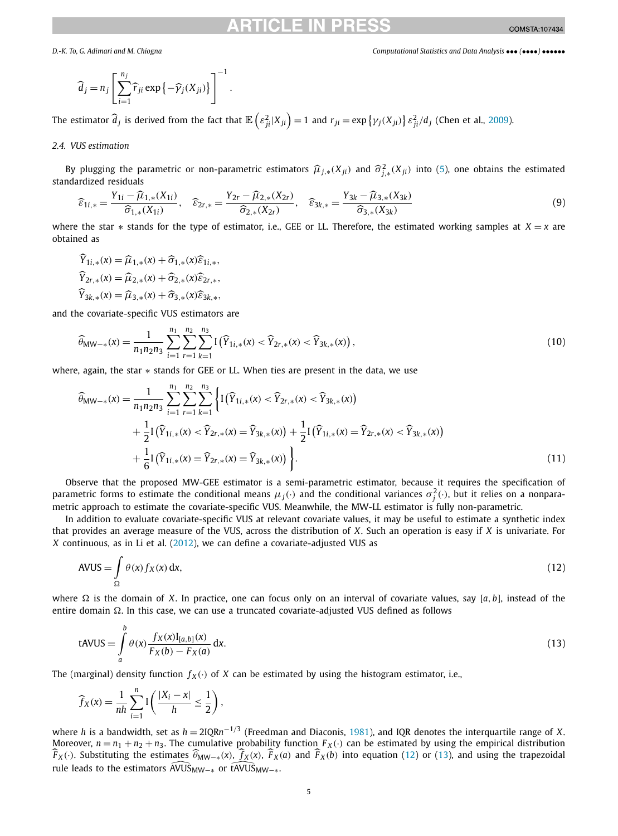<span id="page-4-0"></span>

$$
\widehat{d}_j = n_j \left[ \sum_{i=1}^{n_j} \widehat{r}_{ji} \exp \left\{ -\widehat{\gamma}_j(X_{ji}) \right\} \right]^{-1}.
$$

The estimator  $\widehat{d}_j$  is derived from the fact that  $\mathbb{E}\left(\varepsilon_{ji}^2|X_{ji}\right)=1$  and  $r_{ji}=\exp\left\{\gamma_j(X_{ji})\right\}\varepsilon_{ji}^2/d_j$  (Chen et al., [2009\)](#page-14-0).

### *2.4. VUS estimation*

By plugging the parametric or non-parametric estimators  $\widehat{\mu}_{j,*}(X_{ji})$  and  $\widehat{\sigma}_{j,*}^2(X_{ji})$  into ([5\)](#page-2-0), one obtains the estimated pointing the intervalsed residuals standardized residuals

$$
\widehat{\varepsilon}_{1i,*} = \frac{Y_{1i} - \widehat{\mu}_{1,*}(X_{1i})}{\widehat{\sigma}_{1,*}(X_{1i})}, \quad \widehat{\varepsilon}_{2r,*} = \frac{Y_{2r} - \widehat{\mu}_{2,*}(X_{2r})}{\widehat{\sigma}_{2,*}(X_{2r})}, \quad \widehat{\varepsilon}_{3k,*} = \frac{Y_{3k} - \widehat{\mu}_{3,*}(X_{3k})}{\widehat{\sigma}_{3,*}(X_{3k})}
$$
(9)

where the star  $*$  stands for the type of estimator, i.e., GEE or LL. Therefore, the estimated working samples at  $X = x$  are obtained as

 $\widehat{Y}_{1i}$  \* (*x*) =  $\widehat{\mu}_{1}$  \* (*x*) +  $\widehat{\sigma}_{1}$  \* (*x*)  $\widehat{\epsilon}_{1i}$  \* (*x*)  $\widehat{Y}_{2r, *}(\mathbf{x}) = \widehat{\mu}_{2,*}(\mathbf{x}) + \widehat{\sigma}_{2,*}(\mathbf{x})\widehat{\epsilon}_{2r, *}$  $\widehat{Y}_{3k}$ <sup>\*</sup>(*x*) =  $\widehat{\mu}_{3}$ <sup>\*</sup>(*x*) +  $\widehat{\sigma}_{3}$ <sup>\*</sup>(*x*)  $\widehat{\epsilon}_{3k}$ <sup>\*</sup>,

and the covariate-specific VUS estimators are

$$
\widehat{\theta}_{\text{MW-*}}(x) = \frac{1}{n_1 n_2 n_3} \sum_{i=1}^{n_1} \sum_{r=1}^{n_2} \sum_{k=1}^{n_3} \mathcal{I}\left(\widehat{Y}_{1i,*}(x) < \widehat{Y}_{2r,*}(x) < \widehat{Y}_{3k,*}(x)\right),\tag{10}
$$

where, again, the star  $*$  stands for GEE or LL. When ties are present in the data, we use

$$
\widehat{\theta}_{MW-*}(x) = \frac{1}{n_1 n_2 n_3} \sum_{i=1}^{n_1} \sum_{r=1}^{n_2} \sum_{k=1}^{n_3} \left\{ I(\widehat{Y}_{1i,*}(x) < \widehat{Y}_{2r,*}(x) < \widehat{Y}_{3k,*}(x)) + \frac{1}{2} I(\widehat{Y}_{1i,*}(x) < \widehat{Y}_{2r,*}(x) = \widehat{Y}_{3k,*}(x)) + \frac{1}{2} I(\widehat{Y}_{1i,*}(x) = \widehat{Y}_{2r,*}(x) < \widehat{Y}_{3k,*}(x)) + \frac{1}{6} I(\widehat{Y}_{1i,*}(x) = \widehat{Y}_{2r,*}(x) = \widehat{Y}_{3k,*}(x)) \right\}.
$$
\n
$$
(11)
$$

Observe that the proposed MW-GEE estimator is a semi-parametric estimator, because it requires the specification of parametric forms to estimate the conditional means  $\mu_j(\cdot)$  and the conditional variances  $\sigma_j^2(\cdot)$ , but it relies on a nonparametric approach to estimate the covariate-specific VUS. Meanwhile, the MW-LL estimator is fully non-parametric.

In addition to evaluate covariate-specific VUS at relevant covariate values, it may be useful to estimate a synthetic index that provides an average measure of the VUS, across the distribution of *X*. Such an operation is easy if *X* is univariate. For *X* continuous, as in Li et al. ([2012](#page-14-0)), we can define a covariate-adjusted VUS as

$$
AVUS = \int_{\Omega} \theta(x) f_X(x) dx,
$$
\n(12)

where  $\Omega$  is the domain of *X*. In practice, one can focus only on an interval of covariate values, say [a, b], instead of the entire domain  $\Omega$ . In this case, we can use a truncated covariate-adjusted VUS defined as follows

$$
tAVUS = \int_{a}^{b} \theta(x) \frac{f_X(x)I_{[a,b]}(x)}{F_X(b) - F_X(a)} dx.
$$
\n(13)

The (marginal) density function  $f_X(\cdot)$  of *X* can be estimated by using the histogram estimator, i.e.,

$$
\widehat{f}_X(x) = \frac{1}{nh} \sum_{i=1}^n I\left(\frac{|X_i - x|}{h} \le \frac{1}{2}\right),
$$

where *h* is a bandwidth, set as *h* = 2IQR*n*−1*/*<sup>3</sup> (Freedman and Diaconis, [1981](#page-14-0)), and IQR denotes the interquartile range of *X*. Moreover,  $n = n_1 + n_2 + n_3$ . The cumulative probability function  $F_X(\cdot)$  can be estimated by using the empirical distribution Moreover,  $n = n_1 + n_2 + n_3$ . The cumulative probability function  $F_X(\cdot)$  can be estimated by using the empirical distribution  $\hat{F}_X(\cdot)$ . Substituting the estimates  $\hat{\theta}_{MW-*}(x)$ ,  $\hat{f}_X(x)$ ,  $\hat{F}_X(a)$  and  $\hat{F}_X(b)$  into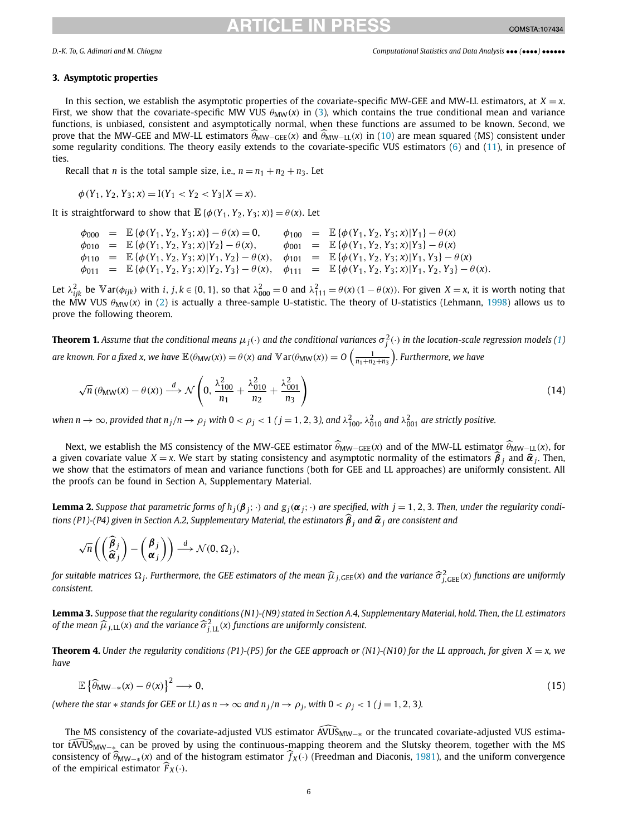# ICI E IN PR

### <span id="page-5-0"></span>**3. Asymptotic properties**

In this section, we establish the asymptotic properties of the covariate-specific MW-GEE and MW-LL estimators, at  $X = x$ . First, we show that the covariate-specific MW VUS  $\theta_{MW}(x)$  in ([3\)](#page-2-0), which contains the true conditional mean and variance functions, is unbiased, consistent and asymptotically normal, when these functions are assumed to be known. Second, we prove that the MW-GEE and MW-LL estimators  $\hat{\theta}_{MW-GEE}(x)$  and  $\hat{\theta}_{MW-LL}(x)$  in ([10\)](#page-4-0) are mean squared (MS) consistent under some regularity conditions. The theory easily extends to the covariate-specific VUS estimators ([6\)](#page-2-0) and [\(11](#page-4-0)), in presence of ties.

Recall that *n* is the total sample size, i.e.,  $n = n_1 + n_2 + n_3$ . Let

$$
\phi(Y_1, Y_2, Y_3; x) = I(Y_1 < Y_2 < Y_3 | X = x).
$$

It is straightforward to show that  $\mathbb{E} \{ \phi(Y_1, Y_2, Y_3; x) \} = \theta(x)$ . Let

 $\phi_{000} = \mathbb{E} {\phi(Y_1, Y_2, Y_3; x)} - \theta(x) = 0, \quad \phi_{100} = \mathbb{E} {\phi(Y_1, Y_2, Y_3; x) | Y_1} - \theta(x)$  $\phi_{010} = \mathbb{E} {\phi(Y_1, Y_2, Y_3; x) | Y_2} - \theta(x), \qquad \phi_{001} = \mathbb{E} {\phi(Y_1, Y_2, Y_3; x) | Y_3} - \theta(x)$  $\phi_{110} = \mathbb{E} {\phi(Y_1, Y_2, Y_3; x) | Y_1, Y_2} - \theta(x), \quad \phi_{101} = \mathbb{E} {\phi(Y_1, Y_2, Y_3; x) | Y_1, Y_3} - \theta(x)$  $\phi_{011} = \mathbb{E} \{ \phi(Y_1, Y_2, Y_3; x) | Y_2, Y_3 \} - \theta(x), \quad \phi_{111} = \mathbb{E} \{ \phi(Y_1, Y_2, Y_3; x) | Y_1, Y_2, Y_3 \} - \theta(x).$ 

Let  $\lambda_{ijk}^2$  be  $\mathbb{V}$  ar $(\phi_{ijk})$  with i, j,  $k \in \{0, 1\}$ , so that  $\lambda_{000}^2 = 0$  and  $\lambda_{111}^2 = \theta(x) (1 - \theta(x))$ . For given  $X = x$ , it is worth noting that the MW VUS  $\theta_{\text{MW}}(x)$  in [\(2](#page-2-0)) is actually a three-sample U-statistic. The theory of U-statistics (Lehmann, [1998](#page-14-0)) allows us to prove the following theorem.

**Theorem [1](#page-1-0).** Assume that the conditional means  $\mu_j(\cdot)$  and the conditional variances  $\sigma_j^2(\cdot)$  in the location-scale regression models (1) are known. For a fixed x, we have  $\mathbb{E}(\theta_{\rm MW}(x)) = \theta(x)$  and  $\mathbb{V}$  ar $(\theta_{\rm MW}(x)) = O\left(\frac{1}{n_1+n_2+n_3}\right)$ . Furthermore, we have

$$
\sqrt{n} \left( \theta_{\text{MW}}(x) - \theta(x) \right) \stackrel{d}{\longrightarrow} \mathcal{N} \left( 0, \frac{\lambda_{100}^2}{n_1} + \frac{\lambda_{010}^2}{n_2} + \frac{\lambda_{001}^2}{n_3} \right) \tag{14}
$$

when  $n\to\infty$ , provided that  $n_j/n\to\rho_j$  with  $0<\rho_j< 1$  (  $j=1,2,3$  ), and  $\lambda_{100}^2$ ,  $\lambda_{010}^2$  and  $\lambda_{001}^2$  are strictly positive.

Next, we establish the MS consistency of the MW-GEE estimator  $\hat{\theta}_{\text{MW-GEE}}(x)$  and of the MW-LL estimator  $\hat{\theta}_{\text{MW-LL}}(x)$ , for a given covariate value *X* = *x*. We start by stating consistency and asymptotic normality of the estimators  $\hat{\beta}_j$  and  $\hat{\alpha}_j$ . Then, we show that the estimators of mean and variance functions (both for GEE and LL approaches) are uniformly consistent. All the proofs can be found in Section A, Supplementary Material.

**Lemma 2.** Suppose that parametric forms of  $h_i(\beta_i; \cdot)$  and  $g_i(\alpha_i; \cdot)$  are specified, with  $j = 1, 2, 3$ . Then, under the regularity conditions (P1)-(P4) given in Section A.2, Supplementary Material, the estimators  $\widehat{\beta}_i$  and  $\widehat{\alpha}_j$  are consistent and

$$
\sqrt{n}\left(\begin{pmatrix}\widehat{\boldsymbol{\beta}}_j\\ \widehat{\boldsymbol{\alpha}}_j\end{pmatrix}-\begin{pmatrix}\boldsymbol{\beta}_j\\ \boldsymbol{\alpha}_j\end{pmatrix}\right)\stackrel{d}{\longrightarrow}\mathcal{N}(0,\Omega_j),
$$

for suitable matrices  $\Omega_j$ . Furthermore, the GEE estimators of the mean  $\widehat{\mu}_{j, \text{GEE}}(\mathsf{x})$  and the variance  $\widehat{\sigma}_{j, \text{GEE}}^2(\mathsf{x})$  functions are uniformly *consistent.*

Lemma 3. Suppose that the regularity conditions (N1)-(N9) stated in Section A.4, Supplementary Material, hold. Then, the LL estimators of the mean  $\widehat{\mu}_{j,\text{LL}}(\mathsf{x})$  and the variance  $\widehat{\sigma}_{j,\text{LL}}^2(\mathsf{x})$  functions are uniformly consistent.

**Theorem 4.** Under the regularity conditions (P1)-(P5) for the GEE approach or (N1)-(N10) for the LL approach, for given  $X = x$ , we *have*

$$
\mathbb{E}\left\{\widehat{\theta}_{\text{MW-*}}(x) - \theta(x)\right\}^2 \longrightarrow 0,\tag{15}
$$

(where the star  $*$  stands for GEE or LL) as  $n \to \infty$  and  $n_j/n \to \rho_j$ , with  $0 < \rho_j < 1$  ( $j = 1, 2, 3$ ).

tere the star  $*$  stands for GEE or LL) as  $n \to \infty$  and  $n_j/n \to \rho_j$ , with  $0 < \rho_j < 1$  (  $j = 1, 2, 3$  ).<br>The MS consistency of the covariate-adjusted VUS estimator  $\widehat{\text{AVUS}}_{\text{MW-} *}$  or the truncated covariate-adjusted VUS tor tAVUS<sub>MW−∗</sub> can be proved by using the continuous-mapping theorem and the Slutsky theorem, together with the MS consistency of  $\widehat{\theta}_{MW-*}(x)$  and of the histogram estimator  $\widehat{f}_X(\cdot)$  (Freedman and Diaconis, [1981\)](#page-14-0), and the uniform convergence of the empirical estimator  $\widehat{F}_X(\cdot)$ .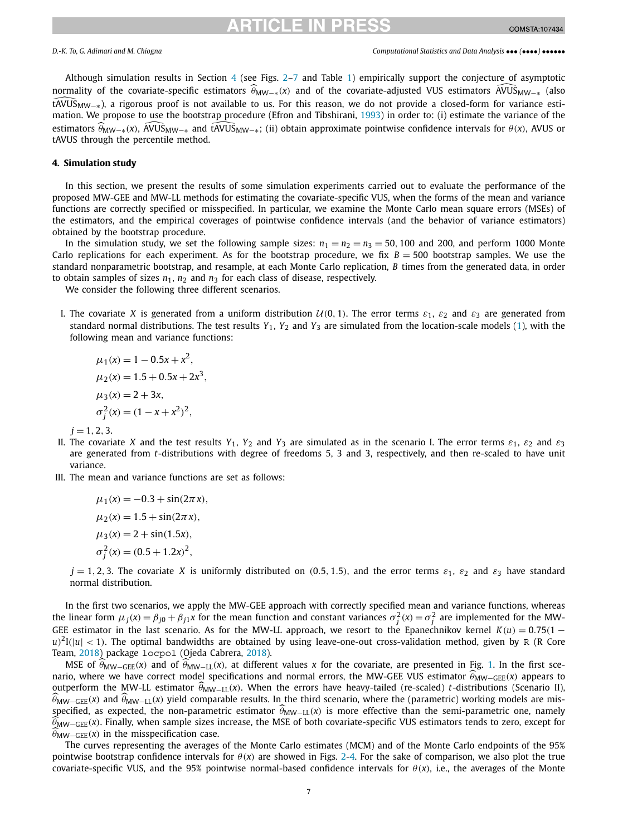## RTICI E IN

<span id="page-6-0"></span>Although simulation results in Section  $4$  (see Figs. [2](#page-8-0)–[7](#page-10-0) and Table [1](#page-11-0)) empirically support the conjecture of asymptotic normality Although simulation results in Section 4 (see Figs. 2–7 and Table 1) empirically support the conjecture of asymptotic ormality of the covariate-specific estimators  $\hat{\theta}_{MW-*}(x)$  and of the covariate-adjusted VUS estimators tAVUSMW−∗), a rigorous proof is not available to us. For this reason, we do not provide a closed-form for variance estimation. We propose to use the bootstrap procedure (Efron and Tibshirani, [1993](#page-14-0)) in order to: (i) estimate the variance of the  $\hat{H}$ VUS<sub>MW−∗</sub></sub>), a rigorous proof is not available to us. For this reason, we do not provide a closed-form for variance estimation. We propose to use the bootstrap procedure (Efron and Tibshirani, 1993) in order to: (i tAVUS through the percentile method.

### **4. Simulation study**

In this section, we present the results of some simulation experiments carried out to evaluate the performance of the proposed MW-GEE and MW-LL methods for estimating the covariate-specific VUS, when the forms of the mean and variance functions are correctly specified or misspecified. In particular, we examine the Monte Carlo mean square errors (MSEs) of the estimators, and the empirical coverages of pointwise confidence intervals (and the behavior of variance estimators) obtained by the bootstrap procedure.

In the simulation study, we set the following sample sizes:  $n_1 = n_2 = n_3 = 50$ , 100 and 200, and perform 1000 Monte Carlo replications for each experiment. As for the bootstrap procedure, we fix  $B = 500$  bootstrap samples. We use the standard nonparametric bootstrap, and resample, at each Monte Carlo replication, *B* times from the generated data, in order to obtain samples of sizes  $n_1$ ,  $n_2$  and  $n_3$  for each class of disease, respectively.

We consider the following three different scenarios.

I. The covariate X is generated from a uniform distribution  $U(0, 1)$ . The error terms  $\varepsilon_1$ ,  $\varepsilon_2$  and  $\varepsilon_3$  are generated from standard normal distributions. The test results  $Y_1$ ,  $Y_2$  and  $Y_3$  are simulated from the location-scale models [\(1\)](#page-1-0), with the following mean and variance functions:

$$
\mu_1(x) = 1 - 0.5x + x^2,
$$
  
\n
$$
\mu_2(x) = 1.5 + 0.5x + 2x^3,
$$
  
\n
$$
\mu_3(x) = 2 + 3x,
$$
  
\n
$$
\sigma_j^2(x) = (1 - x + x^2)^2,
$$

 $j = 1, 2, 3.$ 

- II. The covariate *X* and the test results  $Y_1$ ,  $Y_2$  and  $Y_3$  are simulated as in the scenario I. The error terms  $\varepsilon_1$ ,  $\varepsilon_2$  and  $\varepsilon_3$ are generated from *t*-distributions with degree of freedoms 5, 3 and 3, respectively, and then re-scaled to have unit variance.
- III. The mean and variance functions are set as follows:

$$
\mu_1(x) = -0.3 + \sin(2\pi x),
$$
  
\n
$$
\mu_2(x) = 1.5 + \sin(2\pi x),
$$
  
\n
$$
\mu_3(x) = 2 + \sin(1.5x),
$$
  
\n
$$
\sigma_j^2(x) = (0.5 + 1.2x)^2,
$$

 $j = 1, 2, 3$ . The covariate *X* is uniformly distributed on (0.5, 1.5), and the error terms  $\varepsilon_1$ ,  $\varepsilon_2$  and  $\varepsilon_3$  have standard normal distribution.

In the first two scenarios, we apply the MW-GEE approach with correctly specified mean and variance functions, whereas the linear form  $\mu_j(x) = \beta_{j0} + \beta_{j1}x$  for the mean function and constant variances  $\sigma_j^2(x) = \sigma_j^2$  are implemented for the MW-GEE estimator in the last scenario. As for the MW-LL approach, we resort to the Epanechnikov kernel  $K(u) = 0.75(1$  $u$ <sup>2</sup> $I(|u|$  < 1). The optimal bandwidths are obtained by using leave-one-out cross-validation method, given by R (R Core Team, [2018\)](#page-14-0) package locpol (Ojeda Cabrera, [2018\)](#page-14-0).

MSE of  $\widehat{\theta}_{MW-GEE}(x)$  and of  $\widehat{\theta}_{MW-LL}(x)$ , at different values x for the covariate, are presented in Fig. [1](#page-7-0). In the first scenario, where we have correct model specifications and normal errors, the MW-GEE VUS estimator  $\hat{\theta}_{\text{MW-GEE}}(x)$  appears to outperform the MW-LL estimator  $θ_{\text{MW}-LL}(x)$ . When the errors have heavy-tailed (re-scaled) *t*-distributions (Scenario II),  $\hat{\theta}_{MW-GEE}(x)$  and  $\hat{\theta}_{MW-LL}(x)$  yield comparable results. In the third scenario, where the (parametric) working models are misspecified, as expected, the non-parametric estimator  $\hat{\theta}_{MW-LL}(x)$  is more effective than the semi-parametric one, namely *<sup>θ</sup>*MW−GEE*(x)*. Finally, when sample sizes increase, the MSE of both covariate-specific VUS estimators tends to zero, except for  $\widehat{\theta}_{\text{MW-GFE}}(x)$  in the misspecification case.

The curves representing the averages of the Monte Carlo estimates (MCM) and of the Monte Carlo endpoints of the 95% pointwise bootstrap confidence intervals for  $\theta(x)$  are showed in Figs. [2](#page-8-0)[-4.](#page-9-0) For the sake of comparison, we also plot the true covariate-specific VUS, and the 95% pointwise normal-based confidence intervals for  $\theta(x)$ , i.e., the averages of the Monte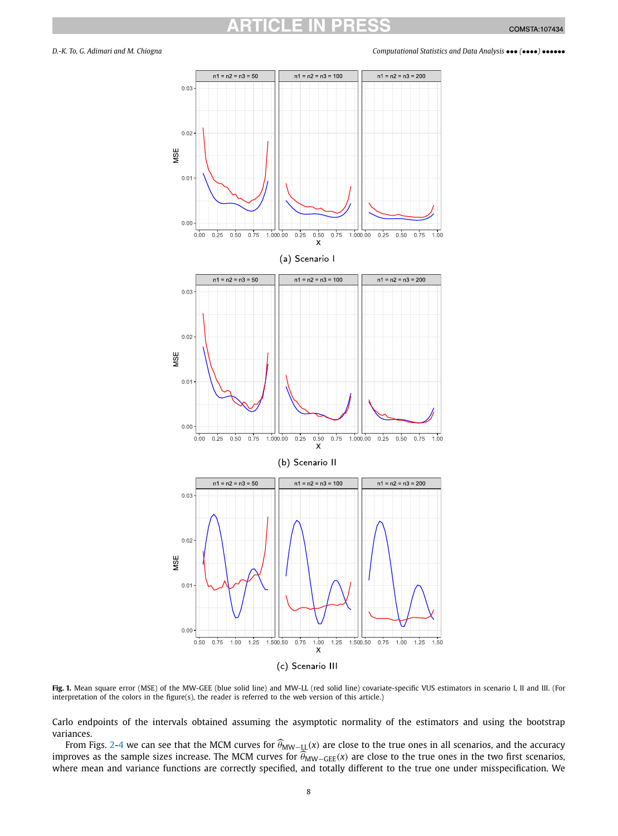<span id="page-7-0"></span>

**Fig. 1.** Mean square error (MSE) of the MW-GEE (blue solid line) and MW-LL (red solid line) covariate-specific VUS estimators in scenario I, II and III. (For interpretation of the colors in the figure(s), the reader is referred to the web version of this article.)

Carlo endpoints of the intervals obtained assuming the asymptotic normality of the estimators and using the bootstrap variances.

From Figs. [2](#page-8-0)[-4](#page-9-0) we can see that the MCM curves for  $\widehat{\theta}_{MW-LL}(x)$  are close to the true ones in all scenarios, and the accuracy improves as the sample sizes increase. The MCM curves for  $\widehat{\theta}_{\rm MW-GEE}(x)$  are close to the true ones in the two first scenarios, where mean and variance functions are correctly specified, and totally different to the true one under misspecification. We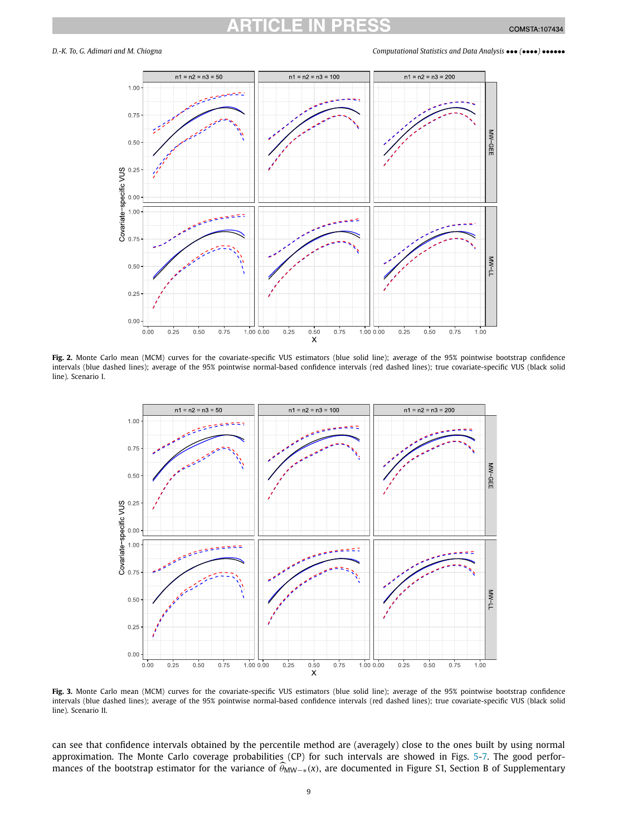<span id="page-8-0"></span>



Fig. 2. Monte Carlo mean (MCM) curves for the covariate-specific VUS estimators (blue solid line); average of the 95% pointwise bootstrap confidence intervals (blue dashed lines); average of the 95% pointwise normal-based confidence intervals (red dashed lines); true covariate-specific VUS (black solid line). Scenario I.



Fig. 3. Monte Carlo mean (MCM) curves for the covariate-specific VUS estimators (blue solid line); average of the 95% pointwise bootstrap confidence intervals (blue dashed lines); average of the 95% pointwise normal-based confidence intervals (red dashed lines); true covariate-specific VUS (black solid line). Scenario II.

can see that confidence intervals obtained by the percentile method are (averagely) close to the ones built by using normal approximation. The Monte Carlo coverage probabilities (CP) for such intervals are showed in Figs. [5](#page-9-0)-[7](#page-10-0). The good performances of the bootstrap estimator for the variance of  $\hat{\theta}_{MW-*}(x)$ , are documented in Figure S1, Section B of Supplementary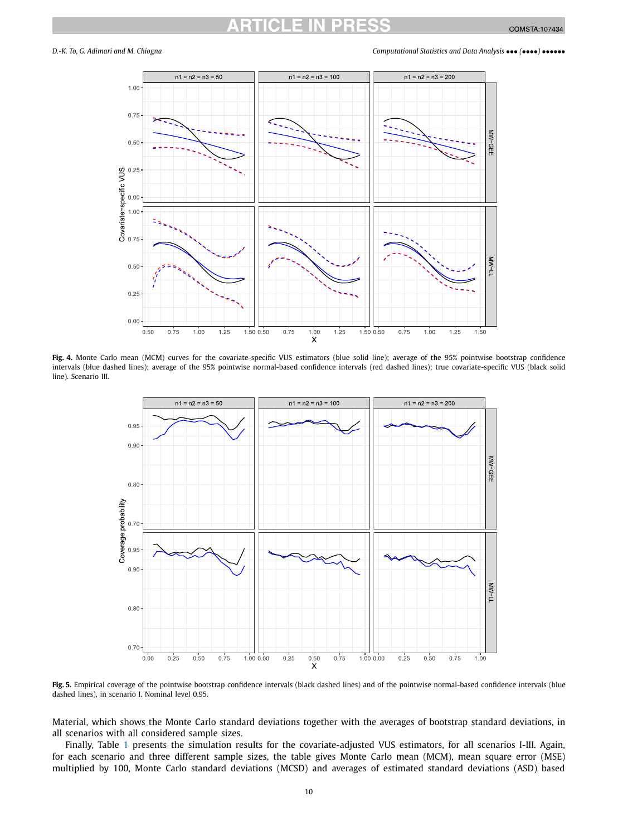<span id="page-9-0"></span>

**Fig. 4.** Monte Carlo mean (MCM) curves for the covariate-specific VUS estimators (blue solid line); average of the 95% pointwise bootstrap confidence intervals (blue dashed lines); average of the 95% pointwise normal-based confidence intervals (red dashed lines); true covariate-specific VUS (black solid line). Scenario III.



**Fig. 5.** Empirical coverage of the pointwise bootstrap confidence intervals (black dashed lines) and of the pointwise normal-based confidence intervals (blue dashed lines), in scenario I. Nominal level 0.95.

Material, which shows the Monte Carlo standard deviations together with the averages of bootstrap standard deviations, in all scenarios with all considered sample sizes.

Finally, Table [1](#page-11-0) presents the simulation results for the covariate-adjusted VUS estimators, for all scenarios I-III. Again, for each scenario and three different sample sizes, the table gives Monte Carlo mean (MCM), mean square error (MSE) multiplied by 100, Monte Carlo standard deviations (MCSD) and averages of estimated standard deviations (ASD) based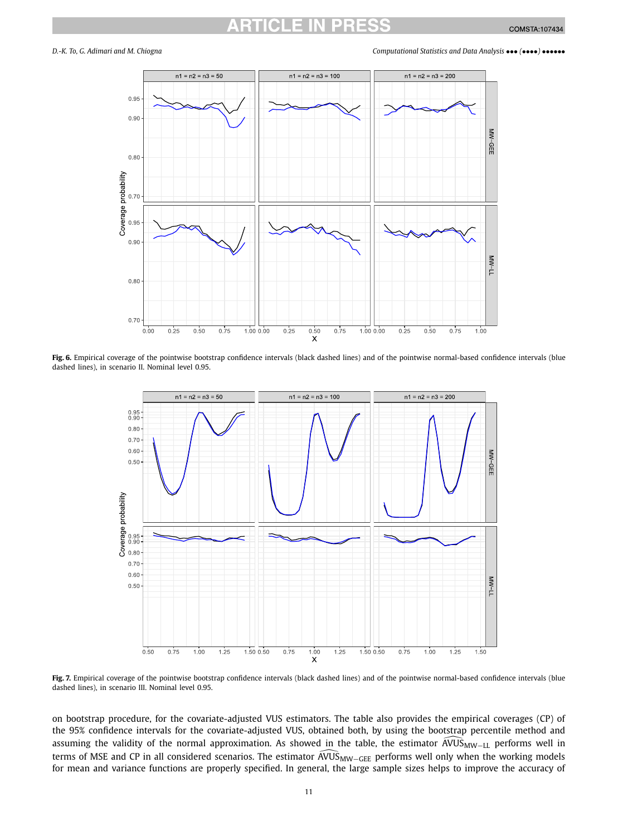<span id="page-10-0"></span>

**Fig. 6.** Empirical coverage of the pointwise bootstrap confidence intervals (black dashed lines) and of the pointwise normal-based confidence intervals (blue dashed lines), in scenario II. Nominal level 0.95.



**Fig. 7.** Empirical coverage of the pointwise bootstrap confidence intervals (black dashed lines) and of the pointwise normal-based confidence intervals (blue dashed lines), in scenario III. Nominal level 0.95.

on bootstrap procedure, for the covariate-adjusted VUS estimators. The table also provides the empirical coverages (CP) of<br>the 95% confidence intervals for the covariate-adjusted VUS, obtained both, by using the bootstrap the 95% confidence intervals for the covariate-adjusted VUS, obtained both, by using the bootstrap percentile method and assuming the validity of the normal approximation. As showed in the table, the estimator  $\widehat{AVU}S_{MW-LL}$  performs well in the 95% confidence intervals for the covariate-adjusted VUS, obtained both, by using the bootstrap percentile method and<br>assuming the validity of the normal approximation. As showed in the table, the estimator AVUS<sub>MW−LL</sub> for mean and variance functions are properly specified. In general, the large sample sizes helps to improve the accuracy of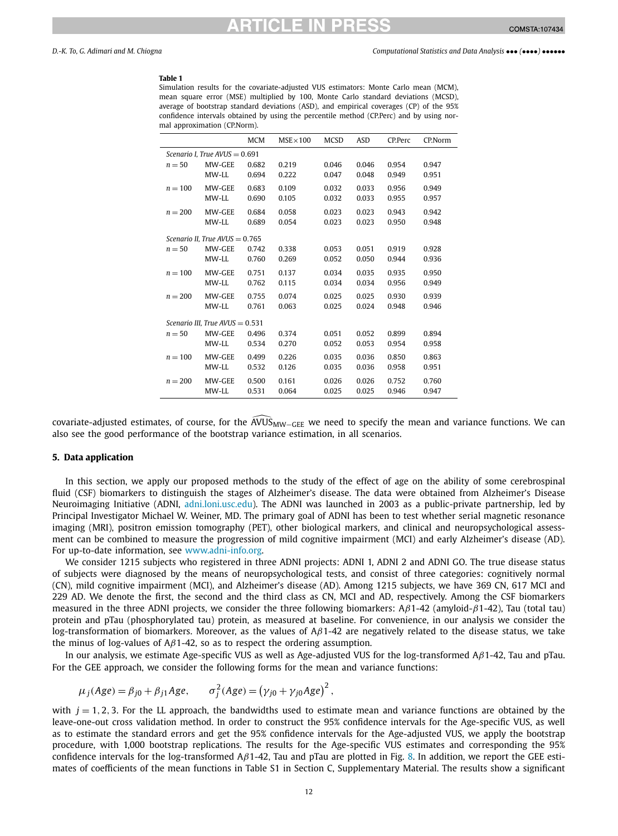# TICI E IN PR

<span id="page-11-0"></span>*D.-K. To, G. Adimari and M. Chiogna Computational Statistics and Data Analysis* ••• *(*••••*)* ••••••

### **Table 1**

Simulation results for the covariate-adjusted VUS estimators: Monte Carlo mean (MCM), mean square error (MSE) multiplied by 100, Monte Carlo standard deviations (MCSD), average of bootstrap standard deviations (ASD), and empirical coverages (CP) of the 95% confidence intervals obtained by using the percentile method (CP.Perc) and by using normal approximation (CP.Norm).

|                                   |        | <b>MCM</b> | $MSE \times 100$ | <b>MCSD</b> | <b>ASD</b> | CP.Perc | CP.Norm |  |  |
|-----------------------------------|--------|------------|------------------|-------------|------------|---------|---------|--|--|
| Scenario I, True AVUS = $0.691$   |        |            |                  |             |            |         |         |  |  |
| $n = 50$                          | MW-GEE | 0.682      | 0.219            | 0.046       | 0.046      | 0.954   | 0.947   |  |  |
|                                   | MW-LL  | 0.694      | 0.222            | 0.047       | 0.048      | 0.949   | 0.951   |  |  |
| $n = 100$                         | MW-GEE | 0.683      | 0.109            | 0.032       | 0.033      | 0.956   | 0.949   |  |  |
|                                   | MW-LL  | 0.690      | 0.105            | 0.032       | 0.033      | 0.955   | 0.957   |  |  |
| $n = 200$                         | MW-GEE | 0.684      | 0.058            | 0.023       | 0.023      | 0.943   | 0.942   |  |  |
|                                   | MW-LL  | 0.689      | 0.054            | 0.023       | 0.023      | 0.950   | 0.948   |  |  |
| Scenario II, True AVUS = $0.765$  |        |            |                  |             |            |         |         |  |  |
| $n = 50$                          | MW-GEE | 0.742      | 0.338            | 0.053       | 0.051      | 0.919   | 0.928   |  |  |
|                                   | MW-LL  | 0.760      | 0.269            | 0.052       | 0.050      | 0.944   | 0.936   |  |  |
| $n = 100$                         | MW-GEE | 0.751      | 0.137            | 0.034       | 0.035      | 0.935   | 0.950   |  |  |
|                                   | MW-LL  | 0.762      | 0.115            | 0.034       | 0.034      | 0.956   | 0.949   |  |  |
| $n = 200$                         | MW-GEE | 0.755      | 0.074            | 0.025       | 0.025      | 0.930   | 0.939   |  |  |
|                                   | MW-LL  | 0.761      | 0.063            | 0.025       | 0.024      | 0.948   | 0.946   |  |  |
| Scenario III, True AVUS = $0.531$ |        |            |                  |             |            |         |         |  |  |
| $n = 50$                          | MW-GEE | 0.496      | 0.374            | 0.051       | 0.052      | 0.899   | 0.894   |  |  |
|                                   | MW-LL  | 0.534      | 0.270            | 0.052       | 0.053      | 0.954   | 0.958   |  |  |
| $n = 100$                         | MW-GEE | 0.499      | 0.226            | 0.035       | 0.036      | 0.850   | 0.863   |  |  |
|                                   | MW-LL  | 0.532      | 0.126            | 0.035       | 0.036      | 0.958   | 0.951   |  |  |
| $n = 200$                         | MW-GEE | 0.500      | 0.161            | 0.026       | 0.026      | 0.752   | 0.760   |  |  |
|                                   | MW-LL  | 0.531      | 0.064            | 0.025       | 0.025      | 0.946   | 0.947   |  |  |

 $\frac{1}{1000}$   $\frac{1}{1000}$   $\frac{1}{1000}$   $\frac{1}{1000}$   $\frac{1}{1000}$   $\frac{1}{1000}$   $\frac{1}{1000}$   $\frac{1}{1000}$   $\frac{1}{1000}$   $\frac{1}{1000}$   $\frac{1}{1000}$   $\frac{1}{1000}$   $\frac{1}{1000}$   $\frac{1}{1000}$   $\frac{1}{1000}$   $\frac{1}{1000}$   $\frac{1}{1000}$  also see the good performance of the bootstrap variance estimation, in all scenarios.

### **5. Data application**

In this section, we apply our proposed methods to the study of the effect of age on the ability of some cerebrospinal fluid (CSF) biomarkers to distinguish the stages of Alzheimer's disease. The data were obtained from Alzheimer's Disease Neuroimaging Initiative (ADNI, [adni.loni.usc.edu\)](http://adni.loni.usc.edu). The ADNI was launched in 2003 as a public-private partnership, led by Principal Investigator Michael W. Weiner, MD. The primary goal of ADNI has been to test whether serial magnetic resonance imaging (MRI), positron emission tomography (PET), other biological markers, and clinical and neuropsychological assessment can be combined to measure the progression of mild cognitive impairment (MCI) and early Alzheimer's disease (AD). For up-to-date information, see [www.adni-info.org](http://www.adni-info.org).

We consider 1215 subjects who registered in three ADNI projects: ADNI 1, ADNI 2 and ADNI GO. The true disease status of subjects were diagnosed by the means of neuropsychological tests, and consist of three categories: cognitively normal (CN), mild cognitive impairment (MCI), and Alzheimer's disease (AD). Among 1215 subjects, we have 369 CN, 617 MCI and 229 AD. We denote the first, the second and the third class as CN, MCI and AD, respectively. Among the CSF biomarkers measured in the three ADNI projects, we consider the three following biomarkers: A*β*1-42 (amyloid-*β*1-42), Tau (total tau) protein and pTau (phosphorylated tau) protein, as measured at baseline. For convenience, in our analysis we consider the log-transformation of biomarkers. Moreover, as the values of A*β*1-42 are negatively related to the disease status, we take the minus of log-values of A*β*1-42, so as to respect the ordering assumption.

In our analysis, we estimate Age-specific VUS as well as Age-adjusted VUS for the log-transformed A*β*1-42, Tau and pTau. For the GEE approach, we consider the following forms for the mean and variance functions:

$$
\mu_j(Age) = \beta_{j0} + \beta_{j1}Age, \qquad \sigma_j^2(Age) = (\gamma_{j0} + \gamma_{j0} Age)^2,
$$

with  $j = 1, 2, 3$ . For the LL approach, the bandwidths used to estimate mean and variance functions are obtained by the leave-one-out cross validation method. In order to construct the 95% confidence intervals for the Age-specific VUS, as well as to estimate the standard errors and get the 95% confidence intervals for the Age-adjusted VUS, we apply the bootstrap procedure, with 1,000 bootstrap replications. The results for the Age-specific VUS estimates and corresponding the 95% confidence intervals for the log-transformed A*β*1-42, Tau and pTau are plotted in Fig. [8.](#page-12-0) In addition, we report the GEE estimates of coefficients of the mean functions in Table S1 in Section C, Supplementary Material. The results show a significant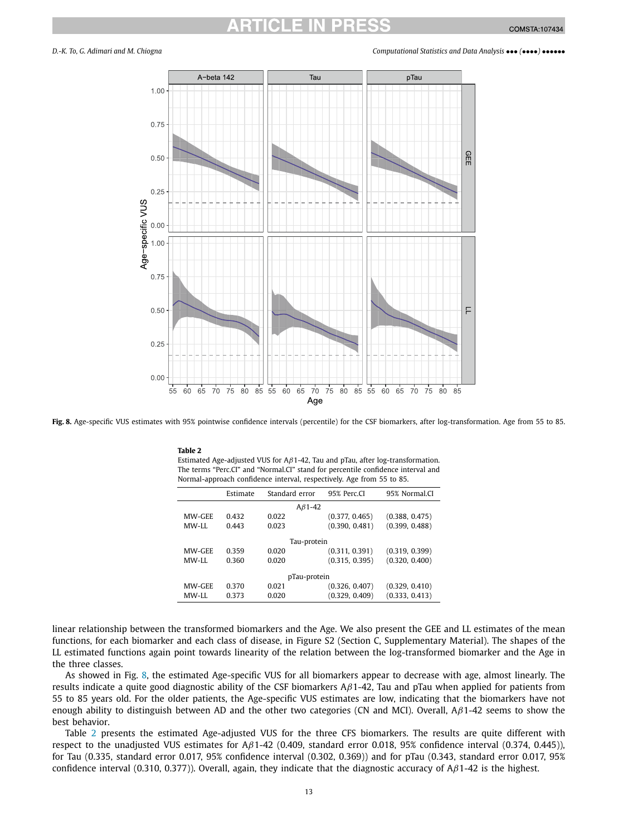<span id="page-12-0"></span>

**Fig. 8.** Age-specific VUS estimates with 95% pointwise confidence intervals (percentile) for the CSF biomarkers, after log-transformation. Age from 55 to 85.

**Table 2** Estimated Age-adjusted VUS for A*β*1-42, Tau and pTau, after log-transformation. The terms "Perc.CI" and "Normal.CI" stand for percentile confidence interval and Normal-approach confidence interval, respectively. Age from 55 to 85.

|               | Estimate | Standard error | 95% Perc.CI    | 95% Normal.CI  |  |  |  |  |
|---------------|----------|----------------|----------------|----------------|--|--|--|--|
| $A\beta$ 1-42 |          |                |                |                |  |  |  |  |
| MW-GEE        | 0.432    | 0.022          | (0.377, 0.465) | (0.388, 0.475) |  |  |  |  |
| MW-LL         | 0.443    | 0.023          | (0.390, 0.481) | (0.399, 0.488) |  |  |  |  |
| Tau-protein   |          |                |                |                |  |  |  |  |
| MW-GEE        | 0.359    | 0.020          | (0.311, 0.391) | (0.319, 0.399) |  |  |  |  |
| MW-LL         | 0.360    | 0.020          | (0.315, 0.395) | (0.320, 0.400) |  |  |  |  |
| pTau-protein  |          |                |                |                |  |  |  |  |
| MW-GEE        | 0.370    | 0.021          | (0.326, 0.407) | (0.329, 0.410) |  |  |  |  |
| MW-LL         | 0.373    | 0.020          | (0.329, 0.409) | (0.333, 0.413) |  |  |  |  |

linear relationship between the transformed biomarkers and the Age. We also present the GEE and LL estimates of the mean functions, for each biomarker and each class of disease, in Figure S2 (Section C, Supplementary Material). The shapes of the LL estimated functions again point towards linearity of the relation between the log-transformed biomarker and the Age in the three classes.

As showed in Fig. 8, the estimated Age-specific VUS for all biomarkers appear to decrease with age, almost linearly. The results indicate a quite good diagnostic ability of the CSF biomarkers A*β*1-42, Tau and pTau when applied for patients from 55 to 85 years old. For the older patients, the Age-specific VUS estimates are low, indicating that the biomarkers have not enough ability to distinguish between AD and the other two categories (CN and MCI). Overall, A*β*1-42 seems to show the best behavior.

Table 2 presents the estimated Age-adjusted VUS for the three CFS biomarkers. The results are quite different with respect to the unadjusted VUS estimates for A*β*1-42 (0.409, standard error 0.018, 95% confidence interval (0.374, 0.445)), for Tau (0.335, standard error 0.017, 95% confidence interval (0.302, 0.369)) and for pTau (0.343, standard error 0.017, 95% confidence interval (0.310, 0.377)). Overall, again, they indicate that the diagnostic accuracy of A*β*1-42 is the highest.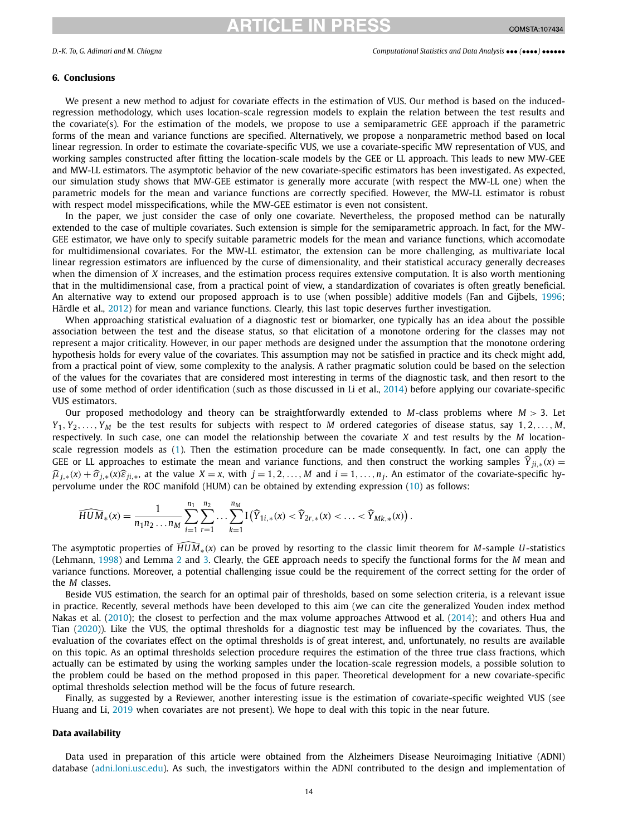### <span id="page-13-0"></span>**6. Conclusions**

We present a new method to adjust for covariate effects in the estimation of VUS. Our method is based on the inducedregression methodology, which uses location-scale regression models to explain the relation between the test results and the covariate(s). For the estimation of the models, we propose to use a semiparametric GEE approach if the parametric forms of the mean and variance functions are specified. Alternatively, we propose a nonparametric method based on local linear regression. In order to estimate the covariate-specific VUS, we use a covariate-specific MW representation of VUS, and working samples constructed after fitting the location-scale models by the GEE or LL approach. This leads to new MW-GEE and MW-LL estimators. The asymptotic behavior of the new covariate-specific estimators has been investigated. As expected, our simulation study shows that MW-GEE estimator is generally more accurate (with respect the MW-LL one) when the parametric models for the mean and variance functions are correctly specified. However, the MW-LL estimator is robust with respect model misspecifications, while the MW-GEE estimator is even not consistent.

In the paper, we just consider the case of only one covariate. Nevertheless, the proposed method can be naturally extended to the case of multiple covariates. Such extension is simple for the semiparametric approach. In fact, for the MW-GEE estimator, we have only to specify suitable parametric models for the mean and variance functions, which accomodate for multidimensional covariates. For the MW-LL estimator, the extension can be more challenging, as multivariate local linear regression estimators are influenced by the curse of dimensionality, and their statistical accuracy generally decreases when the dimension of *X* increases, and the estimation process requires extensive computation. It is also worth mentioning that in the multidimensional case, from a practical point of view, a standardization of covariates is often greatly beneficial. An alternative way to extend our proposed approach is to use (when possible) additive models (Fan and Gijbels, [1996](#page-14-0); Härdle et al., [2012](#page-14-0)) for mean and variance functions. Clearly, this last topic deserves further investigation.

When approaching statistical evaluation of a diagnostic test or biomarker, one typically has an idea about the possible association between the test and the disease status, so that elicitation of a monotone ordering for the classes may not represent a major criticality. However, in our paper methods are designed under the assumption that the monotone ordering hypothesis holds for every value of the covariates. This assumption may not be satisfied in practice and its check might add, from a practical point of view, some complexity to the analysis. A rather pragmatic solution could be based on the selection of the values for the covariates that are considered most interesting in terms of the diagnostic task, and then resort to the use of some method of order identification (such as those discussed in Li et al., [2014\)](#page-14-0) before applying our covariate-specific VUS estimators.

Our proposed methodology and theory can be straightforwardly extended to *M*-class problems where *M >* 3. Let  $Y_1, Y_2, \ldots, Y_M$  be the test results for subjects with respect to *M* ordered categories of disease status, say 1, 2,..., *M*, respectively. In such case, one can model the relationship between the covariate *X* and test results by the *M* locationscale regression models as ([1](#page-1-0)). Then the estimation procedure can be made consequently. In fact, one can apply the GEE or LL approaches to estimate the mean and variance functions, and then construct the working samples  $\hat{Y}_{ii,*}(x)$  =  $\hat{\mu}_{i,*}(x) + \hat{\sigma}_{i,*}(x)\hat{\varepsilon}_{ii,*}$ , at the value  $X = x$ , with  $j = 1, 2, ..., M$  and  $i = 1, ..., n_i$ . An estimator of the covariate-specific hypervolume under the ROC manifold (HUM) can be obtained by extending expression [\(10\)](#page-4-0) as follows:

$$
\widehat{HUM}_*(x) = \frac{1}{n_1 n_2 \dots n_M} \sum_{i=1}^{n_1} \sum_{r=1}^{n_2} \dots \sum_{k=1}^{n_M} \mathbb{I}(\widehat{Y}_{1i,*}(x) < \widehat{Y}_{2r,*}(x) < \dots < \widehat{Y}_{Mk,*}(x)).
$$

The asymptotic properties of *HUM*∗*(x)* can be proved by resorting to the classic limit theorem for *<sup>M</sup>*-sample *<sup>U</sup>*-statistics (Lehmann, [1998](#page-14-0)) and Lemma [2](#page-5-0) and [3.](#page-5-0) Clearly, the GEE approach needs to specify the functional forms for the *M* mean and variance functions. Moreover, a potential challenging issue could be the requirement of the correct setting for the order of the *M* classes.

Beside VUS estimation, the search for an optimal pair of thresholds, based on some selection criteria, is a relevant issue in practice. Recently, several methods have been developed to this aim (we can cite the generalized Youden index method Nakas et al. ([2010](#page-14-0)); the closest to perfection and the max volume approaches Attwood et al. ([2014](#page-14-0)); and others Hua and Tian ([2020](#page-14-0))). Like the VUS, the optimal thresholds for a diagnostic test may be influenced by the covariates. Thus, the evaluation of the covariates effect on the optimal thresholds is of great interest, and, unfortunately, no results are available on this topic. As an optimal thresholds selection procedure requires the estimation of the three true class fractions, which actually can be estimated by using the working samples under the location-scale regression models, a possible solution to the problem could be based on the method proposed in this paper. Theoretical development for a new covariate-specific optimal thresholds selection method will be the focus of future research.

Finally, as suggested by a Reviewer, another interesting issue is the estimation of covariate-specific weighted VUS (see Huang and Li, [2019](#page-14-0) when covariates are not present). We hope to deal with this topic in the near future.

### **Data availability**

Data used in preparation of this article were obtained from the Alzheimers Disease Neuroimaging Initiative (ADNI) database [\(adni.loni.usc.edu\)](http://adni.loni.usc.edu). As such, the investigators within the ADNI contributed to the design and implementation of